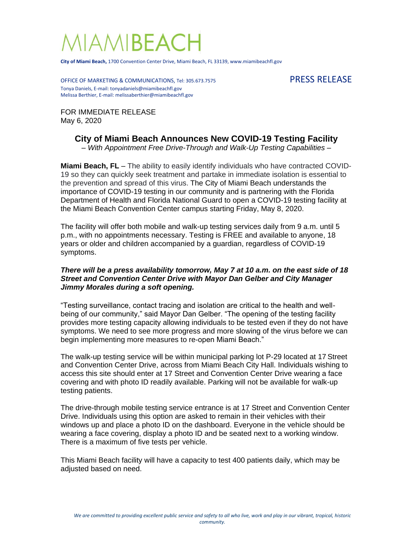## **IAMIBEAC**

**City of Miami Beach,** 1700 Convention Center Drive, Miami Beach, FL 33139, www.miamibeachfl.gov

OFFICE OF MARKETING & COMMUNICATIONS, Tel: 305.673.7575 PRESS RELEASE Tonya Daniels, E-mail: tonyadaniels@miamibeachfl.gov Melissa Berthier, E-mail: melissaberthier@miamibeachfl.gov

FOR IMMEDIATE RELEASE May 6, 2020

## **City of Miami Beach Announces New COVID-19 Testing Facility**

*– With Appointment Free Drive-Through and Walk-Up Testing Capabilities –*

**Miami Beach, FL** – The ability to easily identify individuals who have contracted COVID-19 so they can quickly seek treatment and partake in immediate isolation is essential to the prevention and spread of this virus. The City of Miami Beach understands the importance of COVID-19 testing in our community and is partnering with the Florida Department of Health and Florida National Guard to open a COVID-19 testing facility at the Miami Beach Convention Center campus starting Friday, May 8, 2020.

The facility will offer both mobile and walk-up testing services daily from 9 a.m. until 5 p.m., with no appointments necessary. Testing is FREE and available to anyone, 18 years or older and children accompanied by a guardian, regardless of COVID-19 symptoms.

## *There will be a press availability tomorrow, May 7 at 10 a.m. on the east side of 18 Street and Convention Center Drive with Mayor Dan Gelber and City Manager Jimmy Morales during a soft opening.*

"Testing surveillance, contact tracing and isolation are critical to the health and wellbeing of our community," said Mayor Dan Gelber. "The opening of the testing facility provides more testing capacity allowing individuals to be tested even if they do not have symptoms. We need to see more progress and more slowing of the virus before we can begin implementing more measures to re-open Miami Beach."

The walk-up testing service will be within municipal parking lot P-29 located at 17 Street and Convention Center Drive, across from Miami Beach City Hall. Individuals wishing to access this site should enter at 17 Street and Convention Center Drive wearing a face covering and with photo ID readily available. Parking will not be available for walk-up testing patients.

The drive-through mobile testing service entrance is at 17 Street and Convention Center Drive. Individuals using this option are asked to remain in their vehicles with their windows up and place a photo ID on the dashboard. Everyone in the vehicle should be wearing a face covering, display a photo ID and be seated next to a working window. There is a maximum of five tests per vehicle.

This Miami Beach facility will have a capacity to test 400 patients daily, which may be adjusted based on need.